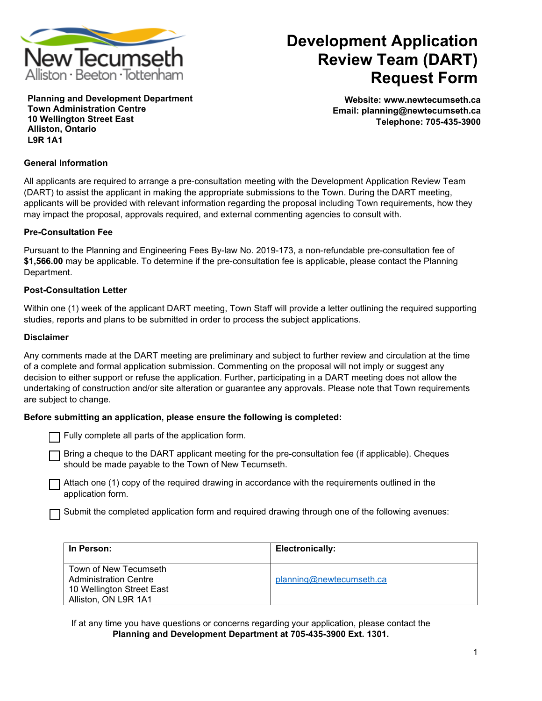

# **Development Application Review Team (DART) Request Form**

**Planning and Development Department Town Administration Centre 10 Wellington Street East Alliston, Ontario L9R 1A1**

**Website: www.newtecumseth.ca Email: planning@newtecumseth.ca Telephone: 705-435-3900** 

### **General Information**

All applicants are required to arrange a pre-consultation meeting with the Development Application Review Team (DART) to assist the applicant in making the appropriate submissions to the Town. During the DART meeting, applicants will be provided with relevant information regarding the proposal including Town requirements, how they may impact the proposal, approvals required, and external commenting agencies to consult with.

#### **Pre-Consultation Fee**

Pursuant to the Planning and Engineering Fees By-law No. 2019-173, a non-refundable pre-consultation fee of **\$1,566.00** may be applicable. To determine if the pre-consultation fee is applicable, please contact the Planning Department.

#### **Post-Consultation Letter**

Within one (1) week of the applicant DART meeting, Town Staff will provide a letter outlining the required supporting studies, reports and plans to be submitted in order to process the subject applications.

#### **Disclaimer**

Any comments made at the DART meeting are preliminary and subject to further review and circulation at the time of a complete and formal application submission. Commenting on the proposal will not imply or suggest any decision to either support or refuse the application. Further, participating in a DART meeting does not allow the undertaking of construction and/or site alteration or guarantee any approvals. Please note that Town requirements are subject to change.

### **Before submitting an application, please ensure the following is completed:**

Fully complete all parts of the application form.

Bring a cheque to the DART applicant meeting for the pre-consultation fee (if applicable). Cheques should be made payable to the Town of New Tecumseth.

Attach one (1) copy of the required drawing in accordance with the requirements outlined in the application form.

Submit the completed application form and required drawing through one of the following avenues:

| In Person:                                                                                                 | Electronically:          |
|------------------------------------------------------------------------------------------------------------|--------------------------|
| Town of New Tecumseth<br><b>Administration Centre</b><br>10 Wellington Street East<br>Alliston, ON L9R 1A1 | planning@newtecumseth.ca |

If at any time you have questions or concerns regarding your application, please contact the **Planning and Development Department at 705-435-3900 Ext. 1301.**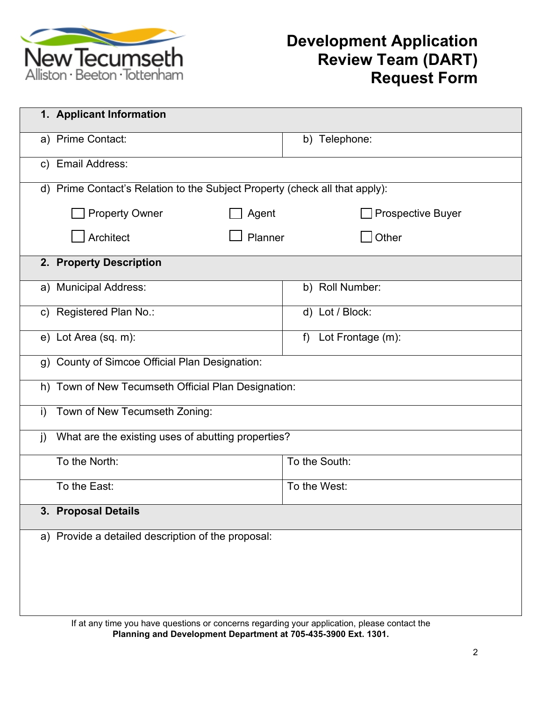

# **Development Application Review Team (DART) Request Form**

|                                                                    | 1. Applicant Information                                                    |                          |  |
|--------------------------------------------------------------------|-----------------------------------------------------------------------------|--------------------------|--|
|                                                                    | a) Prime Contact:                                                           | b) Telephone:            |  |
| $\mathsf{C}$                                                       | <b>Email Address:</b>                                                       |                          |  |
|                                                                    | d) Prime Contact's Relation to the Subject Property (check all that apply): |                          |  |
|                                                                    | <b>Property Owner</b><br>Agent                                              | <b>Prospective Buyer</b> |  |
|                                                                    | Architect<br>Planner                                                        | Other                    |  |
| 2. Property Description                                            |                                                                             |                          |  |
|                                                                    | a) Municipal Address:                                                       | b) Roll Number:          |  |
| $\mathsf{C}$                                                       | Registered Plan No.:                                                        | d) Lot / Block:          |  |
|                                                                    | e) Lot Area (sq. m):                                                        | Lot Frontage (m):<br>f)  |  |
|                                                                    | g) County of Simcoe Official Plan Designation:                              |                          |  |
| h)                                                                 | Town of New Tecumseth Official Plan Designation:                            |                          |  |
| i)                                                                 | Town of New Tecumseth Zoning:                                               |                          |  |
| What are the existing uses of abutting properties?<br>$\mathbf{j}$ |                                                                             |                          |  |
|                                                                    | To the North:                                                               | To the South:            |  |
|                                                                    | To the East:                                                                | To the West:             |  |
| 3. Proposal Details                                                |                                                                             |                          |  |
| a) Provide a detailed description of the proposal:                 |                                                                             |                          |  |
|                                                                    |                                                                             |                          |  |
|                                                                    |                                                                             |                          |  |
|                                                                    |                                                                             |                          |  |

If at any time you have questions or concerns regarding your application, please contact the **Planning and Development Department at 705-435-3900 Ext. 1301.**